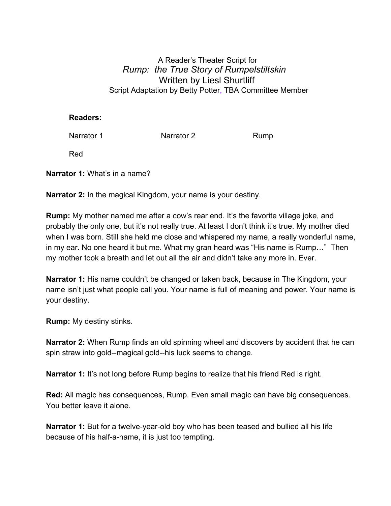## A Reader's Theater Script for *Rump: the True Story of Rumpelstiltskin* Written by Liesl Shurtliff Script Adaptation by Betty Potter, TBA Committee Member

## **Readers:**

Narrator 1 **Narrator 2** Rump

Red

**Narrator 1:** What's in a name?

**Narrator 2:** In the magical Kingdom, your name is your destiny.

**Rump:** My mother named me after a cow's rear end. It's the favorite village joke, and probably the only one, but it's not really true. At least I don't think it's true. My mother died when I was born. Still she held me close and whispered my name, a really wonderful name, in my ear. No one heard it but me. What my gran heard was "His name is Rump…" Then my mother took a breath and let out all the air and didn't take any more in. Ever.

**Narrator 1:** His name couldn't be changed or taken back, because in The Kingdom, your name isn't just what people call you. Your name is full of meaning and power. Your name is your destiny.

**Rump:** My destiny stinks.

**Narrator 2:** When Rump finds an old spinning wheel and discovers by accident that he can spin straw into gold--magical gold--his luck seems to change.

**Narrator 1:** It's not long before Rump begins to realize that his friend Red is right.

**Red:** All magic has consequences, Rump. Even small magic can have big consequences. You better leave it alone.

**Narrator 1:** But for a twelve-year-old boy who has been teased and bullied all his life because of his half-a-name, it is just too tempting.